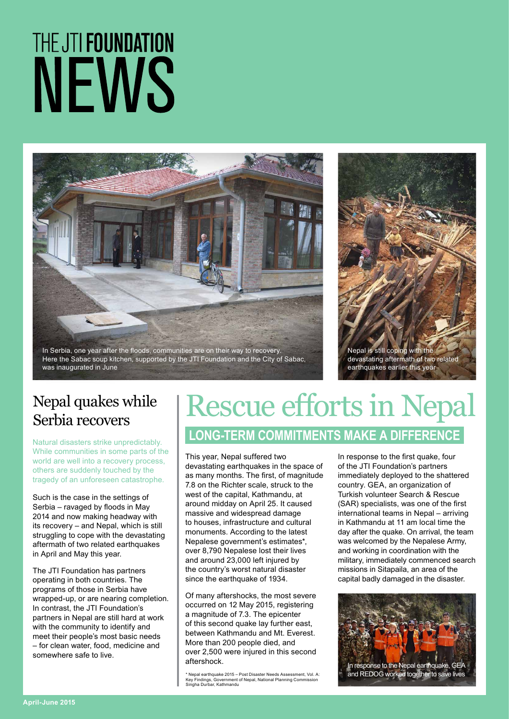# THE JTI FOUNDATION NEWS



In Serbia, one year after the floods, communities are on their way to recovery. Here the Sabac soup kitchen, supported by the JTI Foundation and the City of Sabac, was inaugurated in June



## Nepal quakes while

Natural disasters strike unpredictably. While communities in some parts of the world are well into a recovery process, others are suddenly touched by the tragedy of an unforeseen catastrophe.

Such is the case in the settings of Serbia – ravaged by floods in May 2014 and now making headway with its recovery – and Nepal, which is still struggling to cope with the devastating aftermath of two related earthquakes in April and May this year.

The JTI Foundation has partners operating in both countries. The programs of those in Serbia have wrapped-up, or are nearing completion. In contrast, the JTI Foundation's partners in Nepal are still hard at work with the community to identify and meet their people's most basic needs – for clean water, food, medicine and somewhere safe to live.

### Nepal quakes while | Rescue efforts in Nepal

#### **LONG-TERM COMMITMENTS MAKE A DIFFERENCE**

This year, Nepal suffered two devastating earthquakes in the space of as many months. The first, of magnitude 7.8 on the Richter scale, struck to the west of the capital, Kathmandu, at around midday on April 25. It caused massive and widespread damage to houses, infrastructure and cultural monuments. According to the latest Nepalese government's estimates\*, over 8,790 Nepalese lost their lives and around 23,000 left injured by the country's worst natural disaster since the earthquake of 1934.

Of many aftershocks, the most severe occurred on 12 May 2015, registering a magnitude of 7.3. The epicenter of this second quake lay further east, between Kathmandu and Mt. Everest. More than 200 people died, and over 2,500 were injured in this second aftershock.

\* Nepal earthquake 2015 – Post Disaster Needs Assessment, Vol. A: Key Findings, Government of Nepal, National Planning Commission Singha Durbar, Kathmandu

In response to the first quake, four of the JTI Foundation's partners immediately deployed to the shattered country. GEA, an organization of Turkish volunteer Search & Rescue (SAR) specialists, was one of the first international teams in Nepal – arriving in Kathmandu at 11 am local time the day after the quake. On arrival, the team was welcomed by the Nepalese Army, and working in coordination with the military, immediately commenced search missions in Sitapaila, an area of the capital badly damaged in the disaster.

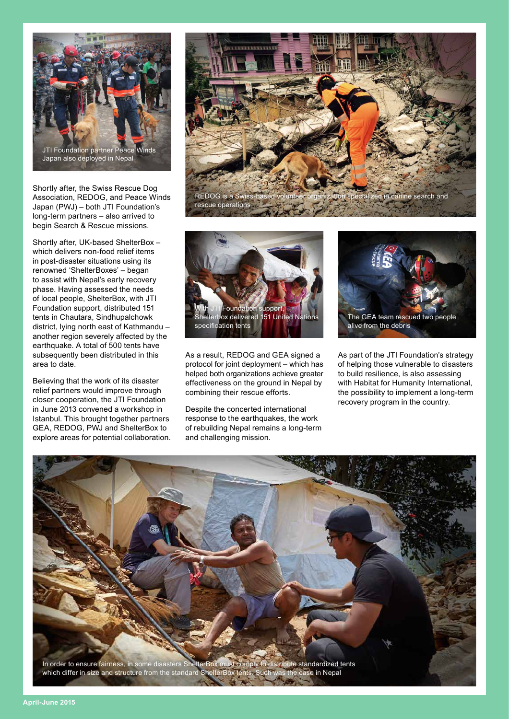

Shortly after, the Swiss Rescue Dog Association, REDOG, and Peace Winds Japan (PWJ) – both JTI Foundation's long-term partners – also arrived to begin Search & Rescue missions.

Shortly after, UK-based ShelterBox – which delivers non-food relief items in post-disaster situations using its renowned 'ShelterBoxes' – began to assist with Nepal's early recovery phase. Having assessed the needs of local people, ShelterBox, with JTI Foundation support, distributed 151 tents in Chautara, Sindhupalchowk district, lying north east of Kathmandu – another region severely affected by the earthquake. A total of 500 tents have subsequently been distributed in this area to date.

Believing that the work of its disaster relief partners would improve through closer cooperation, the JTI Foundation in June 2013 convened a workshop in Istanbul. This brought together partners GEA, REDOG, PWJ and ShelterBox to explore areas for potential collaboration.





As a result, REDOG and GEA signed a protocol for joint deployment – which has helped both organizations achieve greater effectiveness on the ground in Nepal by combining their rescue efforts.

Despite the concerted international response to the earthquakes, the work of rebuilding Nepal remains a long-term and challenging mission.



As part of the JTI Foundation's strategy of helping those vulnerable to disasters to build resilience, is also assessing with Habitat for Humanity International, the possibility to implement a long-term recovery program in the country.